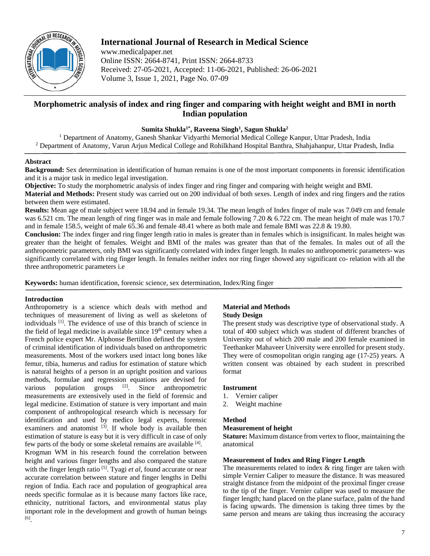

# **International Journal of Research in Medical Science**

www.medicalpaper.net Online ISSN: 2664-8741, Print ISSN: 2664-8733 Received: 27-05-2021, Accepted: 11-06-2021, Published: 26-06-2021 Volume 3, Issue 1, 2021, Page No. 07-09

# **Morphometric analysis of index and ring finger and comparing with height weight and BMI in north Indian population**

**Sumita Shukla1\* , Raveena Singh1 , Sagun Shukla2**

<sup>1</sup> Department of Anatomy, Ganesh Shankar Vidyarthi Memorial Medical College Kanpur, Uttar Pradesh, India <sup>2</sup> Department of Anatomy, Varun Arjun Medical College and Rohilkhand Hospital Banthra, Shahjahanpur, Uttar Pradesh, India

# **Abstract**

**Background:** Sex determination in identification of human remains is one of the most important components in forensic identification and it is a major task in medico legal investigation.

**Objective:** To study the morphometric analysis of index finger and ring finger and comparing with height weight and BMI.

**Material and Methods:** Present study was carried out on 200 individual of both sexes. Length of index and ring fingers and the ratios between them were estimated.

**Results:** Mean age of male subject were 18.94 and in female 19.34. The mean length of Index finger of male was 7.049 cm and female was 6.521 cm. The mean length of ring finger was in male and female following 7.20 & 6.722 cm. The mean height of male was 170.7 and in female 158.5, weight of male 65.36 and female 48.41 where as both male and female BMI was 22.8 & 19.80.

**Conclusion:** The index finger and ring finger length ratio in males is greater than in females which is insignificant. In males height was greater than the height of females. Weight and BMI of the males was greater than that of the females. In males out of all the anthropometric parameters, only BMI was significantly correlated with index finger length. In males no anthropometric parameters- was significantly correlated with ring finger length. In females neither index nor ring finger showed any significant co- relation with all the three anthropometric parameters i.e

**Keywords:** human identification, forensic science, sex determination, Index/Ring finger

# **Introduction**

Anthropometry is a science which deals with method and techniques of measurement of living as well as skeletons of individuals [1] . The evidence of use of this branch of science in the field of legal medicine is available since  $19<sup>th</sup>$  century when a French police expert Mr. Alphonse Bertillon defined the system of criminal identification of individuals based on anthropometric measurements. Most of the workers used intact long bones like femur, tibia, humerus and radius for estimation of stature which is natural heights of a person in an upright position and various methods, formulae and regression equations are devised for various population groups  $[2]$ . Since anthropometric measurements are extensively used in the field of forensic and legal medicine. Estimation of stature is very important and main component of anthropological research which is necessary for identification and used by medico legal experts, forensic examiners and anatomist <sup>[3]</sup>. If whole body is available then estimation of stature is easy but it is very difficult in case of only few parts of the body or some skeletal remains are available [4]. Krogman WM in his research found the correlation between

height and various finger lengths and also compared the stature with the finger length ratio<sup>[5]</sup>. Tyagi *et al*, found accurate or near accurate correlation between stature and finger lengths in Delhi region of India. Each race and population of geographical area needs specific formulae as it is because many factors like race, ethnicity, nutritional factors, and environmental status play important role in the development and growth of human beings [6] .

## **Material and Methods Study Design**

The present study was descriptive type of observational study. A total of 400 subject which was student of different branches of University out of which 200 male and 200 female examined in Teethanker Mahaveer University were enrolled for present study. They were of cosmopolitan origin ranging age (17-25) years. A written consent was obtained by each student in prescribed format

# **Instrument**

- 1. Vernier caliper
- 2. Weight machine

# **Method**

# **Measurement of height**

**Stature:** Maximum distance from vertex to floor, maintaining the anatomical

# **Measurement of Index and Ring Finger Length**

The measurements related to index  $\&$  ring finger are taken with simple Vernier Caliper to measure the distance. It was measured straight distance from the midpoint of the proximal finger crease to the tip of the finger. Vernier caliper was used to measure the finger length; hand placed on the plane surface, palm of the hand is facing upwards. The dimension is taking three times by the same person and means are taking thus increasing the accuracy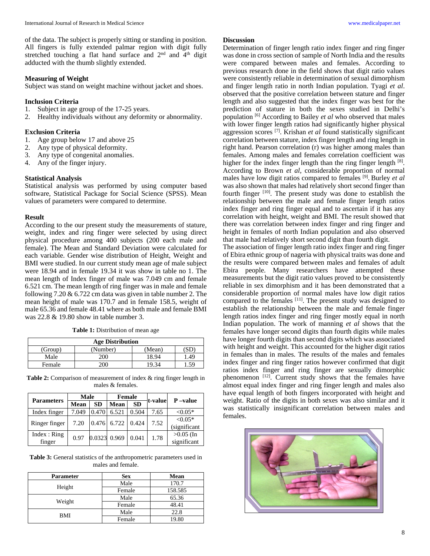of the data. The subject is properly sitting or standing in position. All fingers is fully extended palmar region with digit fully stretched touching a flat hand surface and  $2<sup>nd</sup>$  and  $4<sup>th</sup>$  digit adducted with the thumb slightly extended.

## **Measuring of Weight**

Subject was stand on weight machine without jacket and shoes.

#### **Inclusion Criteria**

- 1. Subject in age group of the 17-25 years.
- 2. Healthy individuals without any deformity or abnormality.

## **Exclusion Criteria**

- 1. Age group below 17 and above 25
- 2. Any type of physical deformity.
- 3. Any type of congenital anomalies.
- 4. Any of the finger injury.

## **Statistical Analysis**

Statistical analysis was performed by using computer based software, Statistical Package for Social Science (SPSS). Mean values of parameters were compared to determine.

## **Result**

According to the our present study the measurements of stature, weight, index and ring finger were selected by using direct physical procedure among 400 subjects (200 each male and female). The Mean and Standard Deviation were calculated for each variable. Gender wise distribution of Height, Weight and BMI were studied. In our current study mean age of male subject were 18.94 and in female 19.34 it was show in table no 1. The mean length of Index finger of male was 7.049 cm and female 6.521 cm. The mean length of ring finger was in male and female following  $7.20 \& 6.722$  cm data was given in table number 2. The mean height of male was 170.7 and in female 158.5, weight of male 65.36 and female 48.41 where as both male and female BMI was 22.8 & 19.80 show in table number 3.

**Table 1:** Distribution of mean age

| <b>Age Distribution</b> |          |        |     |  |  |  |
|-------------------------|----------|--------|-----|--|--|--|
| (Group)                 | (Number) | (Mean) | ЫL  |  |  |  |
| Male                    | 200      | 18.94  | .49 |  |  |  |
| Female                  | ነበር      | Q      |     |  |  |  |

**Table 2:** Comparison of measurement of index & ring finger length in males & females.

| <b>Parameters</b>     | Male  |              | <b>Female</b> |           | t-value | P-value                    |
|-----------------------|-------|--------------|---------------|-----------|---------|----------------------------|
|                       | Mean  | <b>SD</b>    | <b>Mean</b>   | <b>SD</b> |         |                            |
| Index finger          | 7.049 | 0.470        | 6.521         | 0.504     | 7.65    | $< 0.05*$                  |
| Ringer finger         | 7.20  |              | 0.476 6.722   | 0.424     | 7.52    | $< 0.05*$<br>(significant  |
| Index: Ring<br>finger | 0.97  | 0.0323 0.969 |               | 0.041     | 1.78    | $>0.05$ (In<br>significant |

**Table 3:** General statistics of the anthropometric parameters used in males and female.

| <b>Parameter</b> | <b>Sex</b> | <b>Mean</b> |  |
|------------------|------------|-------------|--|
| Height           | Male       | 170.7       |  |
|                  | Female     | 158.585     |  |
|                  | Male       | 65.36       |  |
| Weight           | Female     | 48.41       |  |
| BMI              | Male       | 22.8        |  |
|                  | Female     | 19.80       |  |

#### **Discussion**

Determination of finger length ratio index finger and ring finger was done in cross section of sample of North India and the results were compared between males and females. According to previous research done in the field shows that digit ratio values were consistently reliable in determination of sexual dimorphism and finger length ratio in north Indian population. Tyagi *et al*. observed that the positive correlation between stature and finger length and also suggested that the index finger was best for the prediction of stature in both the sexes studied in Delhi's population [6] According to Bailey *et al* who observed that males with lower finger length ratios had significantly higher physical aggression scores [7] . Krishan *et al* found statistically significant correlation between stature, index finger length and ring length in right hand. Pearson correlation (r) was higher among males than females. Among males and females correlation coefficient was higher for the index finger length than the ring finger length [8]. According to Brown *et al*, considerable proportion of normal males have low digit ratios compared to females [9] . Burley *et al* was also shown that males had relatively short second finger than fourth finger  $[10]$ . The present study was done to establish the relationship between the male and female finger length ratios index finger and ring finger equal and to ascertain if it has any correlation with height, weight and BMI. The result showed that there was correlation between index finger and ring finger and height in females of north Indian population and also observed that male had relatively short second digit than fourth digit.

The association of finger length ratio index finger and ring finger of Ebira ethnic group of nageria with physical traits was done and the results were compared between males and females of adult Ebira people. Many researchers have attempted these measurements but the digit ratio values proved to be consistently reliable in sex dimorphism and it has been demonstrated that a considerable proportion of normal males have low digit ratios compared to the females <sup>[11]</sup>. The present study was designed to establish the relationship between the male and female finger length ratios index finger and ring finger mostly equal in north Indian population. The work of manning *et al* shows that the females have longer second digits than fourth digits while males have longer fourth digits than second digits which was associated with height and weight. This accounted for the higher digit ratios in females than in males. The results of the males and females index finger and ring finger ratios however confirmed that digit ratios index finger and ring finger are sexually dimorphic phenomenon  $[12]$ . Current study shows that the females have almost equal index finger and ring finger length and males also have equal length of both fingers incorporated with height and weight. Ratio of the digits in both sexes was also similar and it was statistically insignificant correlation between males and females.